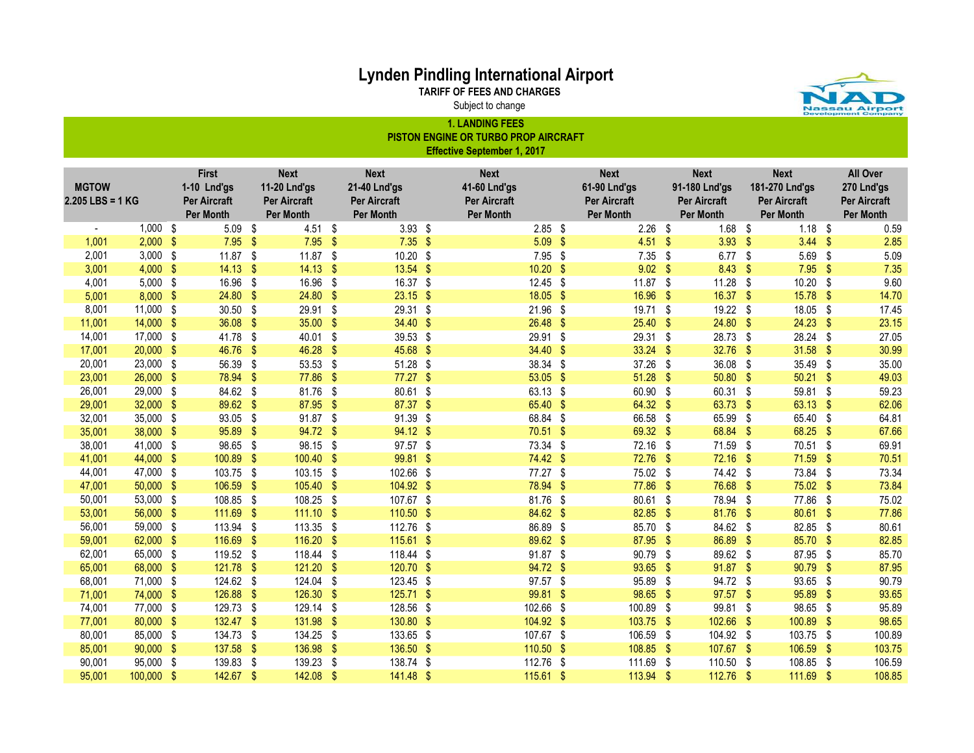TARIFF OF FEES AND CHARGES

Subject to change

J.

Nassau Airpor

|                                    | <b>1. LANDING FEES</b><br>PISTON ENGINE OR TURBO PROP AIRCRAFT<br><b>Effective September 1, 2017</b> |  |                                                                 |                         |                                                                        |                         |                                                                        |  |                                                                        |               |                                                                        |                    |                                                                  |            |                                                                   |               |                                                            |
|------------------------------------|------------------------------------------------------------------------------------------------------|--|-----------------------------------------------------------------|-------------------------|------------------------------------------------------------------------|-------------------------|------------------------------------------------------------------------|--|------------------------------------------------------------------------|---------------|------------------------------------------------------------------------|--------------------|------------------------------------------------------------------|------------|-------------------------------------------------------------------|---------------|------------------------------------------------------------|
| <b>MGTOW</b><br>$2.205$ LBS = 1 KG |                                                                                                      |  | First<br>1-10 Lnd'gs<br><b>Per Aircraft</b><br><b>Per Month</b> |                         | <b>Next</b><br>11-20 Lnd'gs<br><b>Per Aircraft</b><br><b>Per Month</b> |                         | <b>Next</b><br>21-40 Lnd'gs<br><b>Per Aircraft</b><br><b>Per Month</b> |  | <b>Next</b><br>41-60 Lnd'gs<br><b>Per Aircraft</b><br><b>Per Month</b> |               | <b>Next</b><br>61-90 Lnd'gs<br><b>Per Aircraft</b><br><b>Per Month</b> |                    | <b>Next</b><br>91-180 Lnd'gs<br><b>Per Aircraft</b><br>Per Month |            | <b>Next</b><br>181-270 Lnd'gs<br>Per Aircraft<br><b>Per Month</b> |               | All Over<br>270 Lnd'gs<br>Per Aircraft<br><b>Per Month</b> |
|                                    | $1,000$ \$                                                                                           |  | $5.09$ \$                                                       |                         | 4.51 \$                                                                |                         | $3.93$ \$                                                              |  | $2.85$ \$                                                              |               | 2.26                                                                   | $\sqrt{3}$         | $1.68$ \$                                                        |            | $1.18$ \$                                                         |               | 0.59                                                       |
| 1,001                              | $2,000$ \$                                                                                           |  | $7.95$ \$                                                       |                         | 7.95                                                                   | $\sqrt{2}$              | $7.35$ \$                                                              |  | $5.09$ \$                                                              |               | $4.51$ \$                                                              |                    | $3.93$ \$                                                        |            | $3.44$ \$                                                         |               | 2.85                                                       |
| 2,001                              | $3,000$ \$                                                                                           |  | 11.87                                                           | \$                      | 11.87                                                                  | \$                      | 10.20 \$                                                               |  | 7.95                                                                   | \$            | 7.35                                                                   | - \$               | 6.77 $$$                                                         |            | 5.69                                                              | \$            | 5.09                                                       |
| 3,001                              | $4,000$ \$                                                                                           |  | 14.13                                                           | $\mathbf{\$}$           | 14.13                                                                  | $\sqrt[6]{\frac{1}{2}}$ | $13.54$ \$                                                             |  | 10.20                                                                  | \$            | 9.02                                                                   | -\$                | 8.43                                                             | - \$       | 7.95                                                              | -\$           | 7.35                                                       |
| 4,001                              | $5,000$ \$                                                                                           |  | 16.96                                                           | \$                      | 16.96                                                                  | -\$                     | 16.37 \$                                                               |  | $12.45$ \$                                                             |               | $11.87$ \$                                                             |                    | $11.28$ \$                                                       |            | $10.20$ \$                                                        |               | 9.60                                                       |
| 5,001                              | $8,000$ \$                                                                                           |  | 24.80                                                           | \$                      | 24.80                                                                  | $\sqrt[6]{\frac{1}{2}}$ | $23.15$ \$                                                             |  | $18.05$ \$                                                             |               | 16.96                                                                  | $\sqrt{3}$         | 16.37 \$                                                         |            | 15.78 \$                                                          |               | 14.70                                                      |
| 8,001                              | 11,000 \$                                                                                            |  | 30.50                                                           | \$                      | 29.91 \$                                                               |                         | 29.31 \$                                                               |  | 21.96                                                                  | - \$          | 19.71 \$                                                               |                    | 19.22 \$                                                         |            | 18.05 \$                                                          |               | 17.45                                                      |
| 11,001                             | $14,000$ \$                                                                                          |  | 36.08                                                           | \$                      | $35.00$ \$                                                             |                         | 34.40 \$                                                               |  | $26.48$ \$                                                             |               | $25.40$ \$                                                             |                    | $24.80$ \$                                                       |            | $24.23$ \$                                                        |               | 23.15                                                      |
| 14,001                             | 17,000 \$                                                                                            |  | 41.78 \$                                                        |                         | 40.01 \$                                                               |                         | 39.53 \$                                                               |  | 29.91 \$                                                               |               | 29.31 \$                                                               |                    | 28.73 \$                                                         |            | 28.24 \$                                                          |               | 27.05                                                      |
| 17,001                             | $20,000$ \$                                                                                          |  | 46.76                                                           | $\sqrt[6]{\frac{1}{2}}$ | 46.28                                                                  | $\sqrt{3}$              | 45.68 \$                                                               |  | 34.40 \$                                                               |               | $33.24$ \$                                                             |                    | 32.76                                                            | $\sqrt{3}$ | $31.58$ \$                                                        |               | 30.99                                                      |
| 20,001                             | 23,000 \$                                                                                            |  | 56.39                                                           | \$                      | 53.53                                                                  | \$                      | 51.28 \$                                                               |  | 38.34 \$                                                               |               | 37.26                                                                  | $\sqrt{3}$         | 36.08 \$                                                         |            | 35.49 \$                                                          |               | 35.00                                                      |
| 23,001                             | $26,000$ \$                                                                                          |  | 78.94                                                           | $\sqrt[6]{\frac{1}{2}}$ | 77.86                                                                  | $\sqrt{2}$              | $77.27$ \$                                                             |  | $53.05$ \$                                                             |               | $51.28$ \$                                                             |                    | 50.80 \$                                                         |            | $50.21$ \$                                                        |               | 49.03                                                      |
| 26,001                             | 29,000 \$                                                                                            |  | 84.62 \$                                                        |                         | 81.76                                                                  | \$                      | 80.61 \$                                                               |  | $63.13$ \$                                                             |               | 60.90 \$                                                               |                    | 60.31 \$                                                         |            | 59.81 \$                                                          |               | 59.23                                                      |
| 29,001                             | 32,000 \$                                                                                            |  | 89.62                                                           | $\sqrt[6]{\frac{1}{2}}$ | 87.95                                                                  | $\sqrt[6]{3}$           | 87.37 \$                                                               |  | 65.40 \$                                                               |               | 64.32 \$                                                               |                    | 63.73                                                            | $\sqrt{3}$ | $63.13$ \$                                                        |               | 62.06                                                      |
| 32,001                             | 35,000 \$                                                                                            |  | 93.05                                                           | \$                      | 91.87                                                                  | \$                      | 91.39 \$                                                               |  | 68.84 \$                                                               |               | 66.58                                                                  | $\sqrt{3}$         | 65.99                                                            | - \$       | 65.40 \$                                                          |               | 64.81                                                      |
| 35,001                             | 38,000 \$                                                                                            |  | 95.89                                                           | $\sqrt[6]{\frac{1}{2}}$ | 94.72                                                                  | $\sqrt{2}$              | 94.12 \$                                                               |  | 70.51                                                                  | $\sqrt[6]{3}$ | 69.32 \$                                                               |                    | 68.84 \$                                                         |            | 68.25 \$                                                          |               | 67.66                                                      |
| 38,001                             | 41,000 \$                                                                                            |  | 98.65                                                           | -\$                     | 98.15                                                                  | \$                      | 97.57 \$                                                               |  | 73.34 \$                                                               |               | 72.16 \$                                                               |                    | 71.59 \$                                                         |            | 70.51 \$                                                          |               | 69.91                                                      |
| 41,001                             | 44,000 \$                                                                                            |  | 100.89                                                          | $\mathbf{\$}$           | 100.40                                                                 | $\sqrt[6]{\frac{1}{2}}$ | 99.81 \$                                                               |  | 74.42 \$                                                               |               | 72.76                                                                  | $^{\circ}$         | 72.16                                                            | - \$       | 71.59                                                             | - \$          | 70.51                                                      |
| 44,001                             | 47,000 \$                                                                                            |  | 103.75                                                          | \$                      | 103.15                                                                 | $\sqrt{3}$              | 102.66 \$                                                              |  | 77.27 \$                                                               |               | 75.02 \$                                                               |                    | 74.42 \$                                                         |            | 73.84 \$                                                          |               | 73.34                                                      |
| 47,001                             | $50,000$ \$                                                                                          |  | 106.59                                                          | \$                      | 105.40                                                                 | $\sqrt[6]{3}$           | 104.92 \$                                                              |  | 78.94                                                                  | $\sqrt[6]{3}$ | 77.86 \$                                                               |                    | 76.68 \$                                                         |            | 75.02 \$                                                          |               | 73.84                                                      |
| 50,001                             | 53,000 \$                                                                                            |  | 108.85                                                          | \$                      | 108.25                                                                 | $\sqrt{3}$              | 107.67 \$                                                              |  | 81.76                                                                  | - \$          | 80.61 \$                                                               |                    | 78.94 \$                                                         |            | 77.86 \$                                                          |               | 75.02                                                      |
| 53,001                             | 56,000 \$                                                                                            |  | 111.69                                                          | $\sqrt[6]{3}$           | 111.10                                                                 | $\sqrt{3}$              | 110.50 \$                                                              |  | 84.62 \$                                                               |               | 82.85 \$                                                               |                    | 81.76                                                            | - \$       | 80.61 \$                                                          |               | 77.86                                                      |
| 56,001                             | 59,000 \$                                                                                            |  | 113.94 \$                                                       |                         | 113.35 \$                                                              |                         | 112.76 \$                                                              |  | 86.89 \$                                                               |               | 85.70 \$                                                               |                    | 84.62 \$                                                         |            | 82.85 \$                                                          |               | 80.61                                                      |
| 59,001                             | 62,000 \$                                                                                            |  | 116.69                                                          | $\sqrt[6]{3}$           | 116.20 \$                                                              |                         | 115.61 \$                                                              |  | 89.62 \$                                                               |               | 87.95 \$                                                               |                    | 86.89 \$                                                         |            | 85.70 \$                                                          |               | 82.85                                                      |
| 62,001                             | 65,000 \$                                                                                            |  | 119.52                                                          | \$                      | 118.44                                                                 | \$                      | 118.44 \$                                                              |  | 91.87                                                                  | \$            | 90.79                                                                  | $\mathbf{\hat{s}}$ | 89.62 \$                                                         |            | 87.95 \$                                                          |               | 85.70                                                      |
| 65,001                             | 68,000 \$                                                                                            |  | 121.78                                                          | $\sqrt[6]{3}$           | $121.20$ \$                                                            |                         | 120.70 \$                                                              |  | 94.72 \$                                                               |               | 93.65 \$                                                               |                    | $91.87$ \$                                                       |            | 90.79 \$                                                          |               | 87.95                                                      |
| 68,001                             | 71,000 \$                                                                                            |  | 124.62 \$                                                       |                         | 124.04                                                                 | \$                      | 123.45 \$                                                              |  | 97.57 \$                                                               |               | 95.89 \$                                                               |                    | 94.72 \$                                                         |            | 93.65 \$                                                          |               | 90.79                                                      |
| 71,001                             | 74,000 \$                                                                                            |  | 126.88                                                          | $\frac{1}{2}$           | 126.30                                                                 | $\sqrt[6]{\frac{1}{2}}$ | $125.71$ \$                                                            |  | 99.81 \$                                                               |               | 98.65 \$                                                               |                    | 97.57 \$                                                         |            | 95.89                                                             | $\sqrt{3}$    | 93.65                                                      |
| 74,001                             | 77,000 \$                                                                                            |  | 129.73                                                          | \$                      | 129.14                                                                 | $\sqrt[6]{3}$           | 128.56 \$                                                              |  | 102.66 \$                                                              |               | 100.89                                                                 | $\sqrt{3}$         | 99.81 \$                                                         |            | 98.65 \$                                                          |               | 95.89                                                      |
| 77,001                             | 80,000 \$                                                                                            |  | 132.47                                                          | $\sqrt[6]{\frac{1}{2}}$ | 131.98                                                                 | $\sqrt[6]{3}$           | 130.80 \$                                                              |  | 104.92 \$                                                              |               | 103.75                                                                 | $\sqrt{3}$         | 102.66                                                           | $\sqrt{3}$ | 100.89                                                            | $\sqrt[6]{3}$ | 98.65                                                      |
| 80,001                             | 85,000 \$                                                                                            |  | 134.73                                                          | \$                      | 134.25                                                                 | -\$                     | 133.65 \$                                                              |  | 107.67 \$                                                              |               | 106.59 \$                                                              |                    | 104.92 \$                                                        |            | 103.75 \$                                                         |               | 100.89                                                     |
| 85,001                             | $90,000$ \$                                                                                          |  | 137.58                                                          | S,                      | 136.98                                                                 | \$                      | 136.50 \$                                                              |  | 110.50 \$                                                              |               | $108.85$ \$                                                            |                    | 107.67 \$                                                        |            | 106.59                                                            | -\$           | 103.75                                                     |
| 90,001                             | 95,000 \$                                                                                            |  | 139.83                                                          | \$                      | 139.23                                                                 | \$                      | 138.74 \$                                                              |  | 112.76 \$                                                              |               | 111.69                                                                 | - \$               | 110.50                                                           | - \$       | 108.85                                                            | - \$          | 106.59                                                     |
| 95,001                             | $100,000$ \$                                                                                         |  | 142.67                                                          | -\$                     | 142.08                                                                 | -\$                     | $141.48$ \$                                                            |  | 115.61                                                                 | -\$           | 113.94                                                                 | $\sqrt{3}$         | 112.76                                                           | - \$       | 111.69 \$                                                         |               | 108.85                                                     |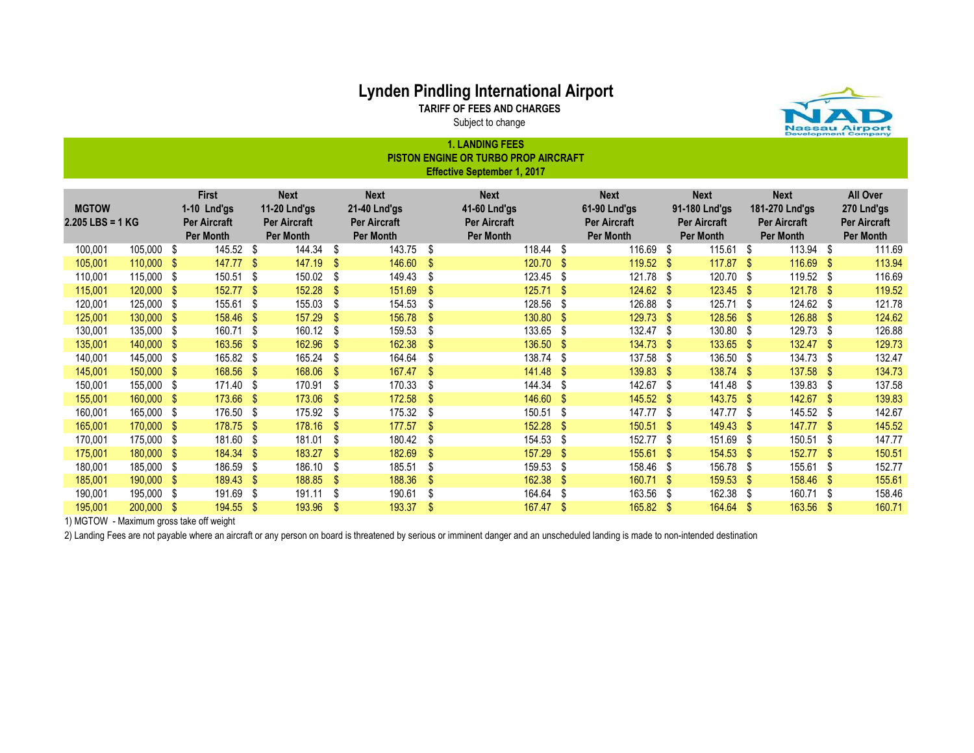TARIFF OF FEES AND CHARGES

Subject to change 1. LANDING FEES

|                                                                                                                                                                                                                                                                                                                                                                                                                                                                                                                                                                                                                                                          | I. LANDINO FEEJ<br><b>PISTON ENGINE OR TURBO PROP AIRCRAFT</b><br><b>Effective September 1, 2017</b> |      |           |      |        |      |        |     |        |      |             |      |        |      |             |      |        |
|----------------------------------------------------------------------------------------------------------------------------------------------------------------------------------------------------------------------------------------------------------------------------------------------------------------------------------------------------------------------------------------------------------------------------------------------------------------------------------------------------------------------------------------------------------------------------------------------------------------------------------------------------------|------------------------------------------------------------------------------------------------------|------|-----------|------|--------|------|--------|-----|--------|------|-------------|------|--------|------|-------------|------|--------|
| <b>First</b><br><b>Next</b><br><b>Next</b><br><b>Next</b><br><b>Next</b><br><b>All Over</b><br><b>Next</b><br><b>Next</b><br><b>MGTOW</b><br>181-270 Lnd'gs<br>11-20 Lnd'gs<br>21-40 Lnd'gs<br>41-60 Lnd'gs<br>61-90 Lnd'gs<br>91-180 Lnd'gs<br>270 Lnd'gs<br>$1-10$ Lnd'gs<br>$2.205$ LBS = 1 KG<br><b>Per Aircraft</b><br><b>Per Aircraft</b><br><b>Per Aircraft</b><br><b>Per Aircraft</b><br><b>Per Aircraft</b><br><b>Per Aircraft</b><br><b>Per Aircraft</b><br><b>Per Aircraft</b><br>Per Month<br>Per Month<br>Per Month<br><b>Per Month</b><br><b>Per Month</b><br>Per Month<br>Per Month<br>Per Month<br>116.69 \$<br>145.52 \$<br>$115.61$ \$ |                                                                                                      |      |           |      |        |      |        |     |        |      |             |      |        |      |             |      |        |
| 100,001                                                                                                                                                                                                                                                                                                                                                                                                                                                                                                                                                                                                                                                  | 105,000 \$                                                                                           |      |           |      | 144.34 | S.   | 143.75 | \$  | 118.44 | -\$  |             |      |        |      | 113.94      | - \$ | 111.69 |
| 105,001                                                                                                                                                                                                                                                                                                                                                                                                                                                                                                                                                                                                                                                  | $110,000$ \$                                                                                         |      | 147.77    | - \$ | 147.19 | S    | 146.60 | -\$ | 120.70 | -S   | 119.52 \$   |      | 117.87 | - \$ | 116.69      | S    | 113.94 |
| 110,001                                                                                                                                                                                                                                                                                                                                                                                                                                                                                                                                                                                                                                                  | 115,000 \$                                                                                           |      | 150.51 \$ |      | 150.02 | S.   | 149.43 | \$  | 123.45 | -\$  | 121.78 \$   |      | 120.70 | \$   | 119.52 \$   |      | 116.69 |
| 115,001                                                                                                                                                                                                                                                                                                                                                                                                                                                                                                                                                                                                                                                  | 120,000                                                                                              | - \$ | 152.77    | -S   | 152.28 | S    | 151.69 | S   | 125.71 | - \$ | $124.62$ \$ |      | 123.45 | - \$ | $121.78$ \$ |      | 119.52 |
| 120,001                                                                                                                                                                                                                                                                                                                                                                                                                                                                                                                                                                                                                                                  | 125,000                                                                                              | -\$  | 155.61    | - \$ | 155.03 | S.   | 154.53 | S   | 128.56 | - \$ | 126.88      | - \$ | 125.71 | - \$ | 124.62      | ß.   | 121.78 |
| 125,001                                                                                                                                                                                                                                                                                                                                                                                                                                                                                                                                                                                                                                                  | 130,000 \$                                                                                           |      | 158.46    |      | 157.29 | S    | 156.78 | \$  | 130.80 | \$   | 129.73 \$   |      | 128.56 | -\$  | 126.88 \$   |      | 124.62 |
| 130,001                                                                                                                                                                                                                                                                                                                                                                                                                                                                                                                                                                                                                                                  | 135,000                                                                                              | -\$  | 160.71    | - \$ | 160.12 | S    | 159.53 | \$  | 133.65 | -\$  | 132.47 \$   |      | 130.80 | - \$ | 129.73      | S    | 126.88 |
| 135,001                                                                                                                                                                                                                                                                                                                                                                                                                                                                                                                                                                                                                                                  | 140,000                                                                                              | - \$ | 163.56    | - \$ | 162.96 | S    | 162.38 | S   | 136.50 | -\$  | 134.73 \$   |      | 133.65 | -\$  | 132.47      | -\$  | 129.73 |
| 140,001                                                                                                                                                                                                                                                                                                                                                                                                                                                                                                                                                                                                                                                  | 145,000                                                                                              | - \$ | 165.82    |      | 165.24 | S    | 164.64 | S   | 138.74 | \$   | 137.58 \$   |      | 136.50 | - \$ | 134.73      |      | 132.47 |
| 145,001                                                                                                                                                                                                                                                                                                                                                                                                                                                                                                                                                                                                                                                  | 150,000                                                                                              | - \$ | 168.56 \$ |      | 168.06 | S    | 167.47 | \$  | 141.48 | \$   | 139.83 \$   |      | 138.74 | -\$  | 137.58      | - \$ | 134.73 |
| 150,001                                                                                                                                                                                                                                                                                                                                                                                                                                                                                                                                                                                                                                                  | 155,000                                                                                              | - \$ | 171.40 \$ |      | 170.91 | S    | 170.33 | S   | 144.34 | \$   | 142.67 \$   |      | 141.48 | - \$ | 139.83      | - \$ | 137.58 |
| 155,001                                                                                                                                                                                                                                                                                                                                                                                                                                                                                                                                                                                                                                                  | 160,000                                                                                              | - \$ | 173.66    |      | 173.06 | -S   | 172.58 |     | 146.60 | - \$ | $145.52$ \$ |      | 143.75 | - \$ | 142.67      | \$.  | 139.83 |
| 160,001                                                                                                                                                                                                                                                                                                                                                                                                                                                                                                                                                                                                                                                  | 165,000                                                                                              | \$   | 176.50    |      | 175.92 | S    | 175.32 | \$  | 150.51 | \$   | 147.77 \$   |      | 147.77 | - \$ | 145.52      |      | 142.67 |
| 165,001                                                                                                                                                                                                                                                                                                                                                                                                                                                                                                                                                                                                                                                  | 170,000                                                                                              | - \$ | 178.75 \$ |      | 178.16 | S.   | 177.57 | S   | 152.28 | -S   | $150.51$ \$ |      | 149.43 | -\$  | 147.77      | - \$ | 145.52 |
| 170,001                                                                                                                                                                                                                                                                                                                                                                                                                                                                                                                                                                                                                                                  | 175,000                                                                                              | - \$ | 181.60 \$ |      | 181.01 | S    | 180.42 | S   | 154.53 | \$   | 152.77 \$   |      | 151.69 | - \$ | 150.51      | S    | 147.77 |
| 175,001                                                                                                                                                                                                                                                                                                                                                                                                                                                                                                                                                                                                                                                  | 180,000                                                                                              | -S   | 184.34    |      | 183.27 | S    | 182.69 | S   | 157.29 | -S   | 155.61      | - \$ | 154.53 | -S   | 152.77      | S.   | 150.51 |
| 180,001                                                                                                                                                                                                                                                                                                                                                                                                                                                                                                                                                                                                                                                  | 185,000                                                                                              | - \$ | 186.59    |      | 186.10 | \$   | 185.51 | \$  | 159.53 | \$   | 158.46      | - \$ | 156.78 | - \$ | 155.61      |      | 152.77 |
| 185,001                                                                                                                                                                                                                                                                                                                                                                                                                                                                                                                                                                                                                                                  | 190,000                                                                                              | - \$ | 189.43    | - \$ | 188.85 | S    | 188.36 | \$  | 162.38 | -S   | $160.71$ \$ |      | 159.53 | - \$ | 158.46      | S    | 155.61 |
| 190,001                                                                                                                                                                                                                                                                                                                                                                                                                                                                                                                                                                                                                                                  | 195,000                                                                                              | \$   | 191.69    | -\$  | 191.11 | \$   | 190.61 | \$  | 164.64 | \$   | 163.56      | - \$ | 162.38 | - \$ | 160.71      | S    | 158.46 |
| 195,001                                                                                                                                                                                                                                                                                                                                                                                                                                                                                                                                                                                                                                                  | 200,000                                                                                              | - \$ | 194.55    | - \$ | 193.96 | - \$ | 193.37 | \$  | 167.47 | \$   | 165.82 \$   |      | 164.64 | -S   | 163.56      | - \$ | 160.71 |

1) MGTOW - Maximum gross take off weight

2) Landing Fees are not payable where an aircraft or any person on board is threatened by serious or imminent danger and an unscheduled landing is made to non-intended destination

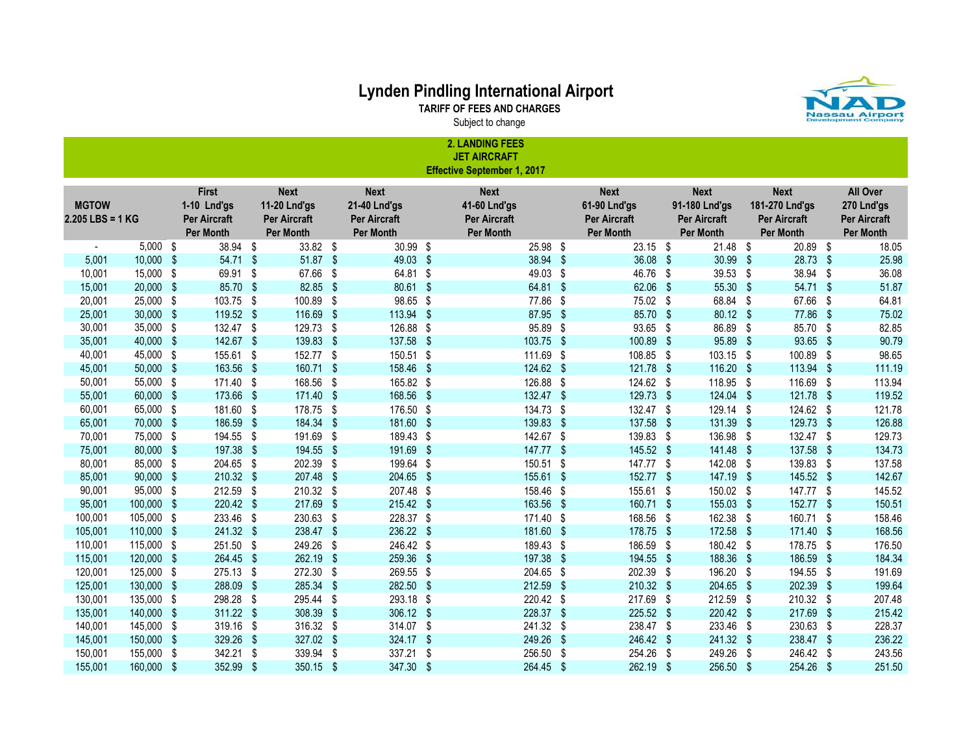

TARIFF OF FEES AND CHARGES Subject to change

|                                    | <b>2. LANDING FEES</b><br><b>JET AIRCRAFT</b> |  |                                                                 |  |                                                                        |    |                                                                        |               |                                                                        |                         |                                                                 |    |                                                                         |      |                                                                   |                                                                   |
|------------------------------------|-----------------------------------------------|--|-----------------------------------------------------------------|--|------------------------------------------------------------------------|----|------------------------------------------------------------------------|---------------|------------------------------------------------------------------------|-------------------------|-----------------------------------------------------------------|----|-------------------------------------------------------------------------|------|-------------------------------------------------------------------|-------------------------------------------------------------------|
|                                    |                                               |  |                                                                 |  |                                                                        |    |                                                                        |               | <b>Effective September 1, 2017</b>                                     |                         |                                                                 |    |                                                                         |      |                                                                   |                                                                   |
| <b>MGTOW</b><br>$2.205$ LBS = 1 KG |                                               |  | First<br>1-10 Lnd'gs<br><b>Per Aircraft</b><br><b>Per Month</b> |  | <b>Next</b><br>11-20 Lnd'gs<br><b>Per Aircraft</b><br><b>Per Month</b> |    | <b>Next</b><br>21-40 Lnd'gs<br><b>Per Aircraft</b><br><b>Per Month</b> |               | <b>Next</b><br>41-60 Lnd'gs<br><b>Per Aircraft</b><br><b>Per Month</b> |                         | <b>Next</b><br>61-90 Lnd'gs<br><b>Per Aircraft</b><br>Per Month |    | <b>Next</b><br>91-180 Lnd'gs<br><b>Per Aircraft</b><br><b>Per Month</b> |      | <b>Next</b><br>181-270 Lnd'gs<br><b>Per Aircraft</b><br>Per Month | All Over<br>270 Lnd'gs<br><b>Per Aircraft</b><br><b>Per Month</b> |
|                                    | $5,000$ \$                                    |  | 38.94 \$                                                        |  | 33.82 \$                                                               |    | 30.99 \$                                                               |               | 25.98 \$                                                               |                         | $23.15$ \$                                                      |    | $21.48$ \$                                                              |      | 20.89 \$                                                          | 18.05                                                             |
| 5,001                              | $10,000$ \$                                   |  | 54.71 \$                                                        |  | 51.87 \$                                                               |    | 49.03 \$                                                               |               | 38.94 \$                                                               |                         | 36.08 \$                                                        |    | 30.99 \$                                                                |      | 28.73 \$                                                          | 25.98                                                             |
| 10,001                             | 15,000 \$                                     |  | 69.91 \$                                                        |  | 67.66 \$                                                               |    | 64.81 \$                                                               |               | 49.03 \$                                                               |                         | 46.76 \$                                                        |    | 39.53 \$                                                                |      | 38.94 \$                                                          | 36.08                                                             |
| 15,001                             | $20,000$ \$                                   |  | 85.70 \$                                                        |  | 82.85 \$                                                               |    | 80.61 \$                                                               |               | 64.81 \$                                                               |                         | 62.06 \$                                                        |    | 55.30 \$                                                                |      | 54.71 \$                                                          | 51.87                                                             |
| 20,001                             | 25,000 \$                                     |  | 103.75 \$                                                       |  | 100.89 \$                                                              |    | 98.65 \$                                                               |               | 77.86                                                                  | -\$                     | 75.02 \$                                                        |    | 68.84 \$                                                                |      | 67.66 \$                                                          | 64.81                                                             |
| 25,001                             | $30,000$ \$                                   |  | 119.52 \$                                                       |  | 116.69 \$                                                              |    | 113.94 \$                                                              |               | 87.95                                                                  | $\frac{1}{2}$           | 85.70 \$                                                        |    | 80.12 \$                                                                |      | 77.86 \$                                                          | 75.02                                                             |
| 30,001                             | 35,000 \$                                     |  | 132.47 \$                                                       |  | 129.73 \$                                                              |    | 126.88 \$                                                              |               | 95.89                                                                  | -\$                     | 93.65 \$                                                        |    | 86.89 \$                                                                |      | 85.70 \$                                                          | 82.85                                                             |
| 35,001                             | 40,000 \$                                     |  | 142.67 \$                                                       |  | 139.83 \$                                                              |    | 137.58                                                                 | $\sqrt[3]{2}$ | 103.75                                                                 | -\$                     | 100.89 \$                                                       |    | 95.89 \$                                                                |      | 93.65 \$                                                          | 90.79                                                             |
| 40,001                             | 45,000 \$                                     |  | 155.61 \$                                                       |  | 152.77 \$                                                              |    | 150.51 \$                                                              |               | 111.69                                                                 | \$                      | 108.85 \$                                                       |    | 103.15 \$                                                               |      | 100.89 \$                                                         | 98.65                                                             |
| 45,001                             | $50,000$ \$                                   |  | 163.56 \$                                                       |  | 160.71 \$                                                              |    | 158.46 \$                                                              |               | 124.62 \$                                                              |                         | 121.78 \$                                                       |    | 116.20 \$                                                               |      | 113.94 \$                                                         | 111.19                                                            |
| 50,001                             | 55,000 \$                                     |  | 171.40 \$                                                       |  | 168.56 \$                                                              |    | 165.82 \$                                                              |               | 126.88                                                                 | -\$                     | 124.62 \$                                                       |    | 118.95                                                                  | - \$ | 116.69 \$                                                         | 113.94                                                            |
| 55,001                             | 60,000 \$                                     |  | 173.66 \$                                                       |  | 171.40 \$                                                              |    | 168.56                                                                 | - \$          | 132.47 \$                                                              |                         | 129.73 \$                                                       |    | 124.04 \$                                                               |      | 121.78 \$                                                         | 119.52                                                            |
| 60,001                             | 65,000 \$                                     |  | 181.60 \$                                                       |  | 178.75 \$                                                              |    | 176.50                                                                 | -\$           | 134.73                                                                 | \$                      | 132.47 \$                                                       |    | 129.14 \$                                                               |      | 124.62 \$                                                         | 121.78                                                            |
| 65,001                             | 70,000 \$                                     |  | 186.59 \$                                                       |  | 184.34 \$                                                              |    | 181.60                                                                 | -\$           | 139.83                                                                 | $\sqrt[6]{\frac{1}{2}}$ | 137.58 \$                                                       |    | 131.39 \$                                                               |      | 129.73 \$                                                         | 126.88                                                            |
| 70,001                             | 75,000 \$                                     |  | 194.55 \$                                                       |  | 191.69 \$                                                              |    | 189.43 \$                                                              |               | 142.67 \$                                                              |                         | 139.83 \$                                                       |    | 136.98 \$                                                               |      | 132.47 \$                                                         | 129.73                                                            |
| 75,001                             | 80,000 \$                                     |  | 197.38 \$                                                       |  | 194.55 \$                                                              |    | 191.69 \$                                                              |               | 147.77 \$                                                              |                         | 145.52 \$                                                       |    | 141.48 \$                                                               |      | 137.58 \$                                                         | 134.73                                                            |
| 80,001                             | 85,000 \$                                     |  | 204.65 \$                                                       |  | 202.39 \$                                                              |    | 199.64 \$                                                              |               | 150.51 \$                                                              |                         | 147.77 \$                                                       |    | 142.08 \$                                                               |      | 139.83 \$                                                         | 137.58                                                            |
| 85,001                             | 90,000 \$                                     |  | 210.32 \$                                                       |  | 207.48 \$                                                              |    | 204.65 \$                                                              |               | 155.61 \$                                                              |                         | 152.77 \$                                                       |    | 147.19 \$                                                               |      | 145.52 \$                                                         | 142.67                                                            |
| 90,001                             | 95,000 \$                                     |  | 212.59 \$                                                       |  | 210.32 \$                                                              |    | 207.48 \$                                                              |               | 158.46 \$                                                              |                         | 155.61 \$                                                       |    | 150.02 \$                                                               |      | 147.77 \$                                                         | 145.52                                                            |
| 95,001                             | 100,000 \$                                    |  | 220.42 \$                                                       |  | 217.69 \$                                                              |    | 215.42 \$                                                              |               | 163.56 \$                                                              |                         | 160.71 \$                                                       |    | 155.03 \$                                                               |      | 152.77 \$                                                         | 150.51                                                            |
| 100,001                            | 105,000 \$                                    |  | 233.46 \$                                                       |  | 230.63 \$                                                              |    | 228.37 \$                                                              |               | 171.40 \$                                                              |                         | 168.56 \$                                                       |    | 162.38                                                                  | - \$ | 160.71 \$                                                         | 158.46                                                            |
| 105,001                            | 110,000 \$                                    |  | 241.32 \$                                                       |  | 238.47 \$                                                              |    | 236.22 \$                                                              |               | 181.60 \$                                                              |                         | 178.75 \$                                                       |    | 172.58 \$                                                               |      | 171.40 \$                                                         | 168.56                                                            |
| 110,001                            | 115,000 \$                                    |  | 251.50 \$                                                       |  | 249.26 \$                                                              |    | 246.42 \$                                                              |               | 189.43 \$                                                              |                         | 186.59 \$                                                       |    | 180.42 \$                                                               |      | 178.75 \$                                                         | 176.50                                                            |
| 115,001                            | 120,000 \$                                    |  | 264.45 \$                                                       |  | 262.19 \$                                                              |    | 259.36                                                                 | $\sqrt{3}$    | 197.38                                                                 | - \$                    | 194.55 \$                                                       |    | 188.36 \$                                                               |      | 186.59 \$                                                         | 184.34                                                            |
| 120,001                            | 125,000 \$                                    |  | 275.13 \$                                                       |  | 272.30 \$                                                              |    | 269.55 \$                                                              |               | 204.65 \$                                                              |                         | 202.39 \$                                                       |    | 196.20 \$                                                               |      | 194.55 \$                                                         | 191.69                                                            |
| 125,001                            | 130,000 \$                                    |  | 288.09 \$                                                       |  | 285.34                                                                 | \$ | 282.50 \$                                                              |               | 212.59 \$                                                              |                         | 210.32 \$                                                       |    | 204.65 \$                                                               |      | 202.39 \$                                                         | 199.64                                                            |
| 130,001                            | 135,000 \$                                    |  | 298.28 \$                                                       |  | 295.44 \$                                                              |    | 293.18 \$                                                              |               | 220.42 \$                                                              |                         | 217.69 \$                                                       |    | 212.59 \$                                                               |      | 210.32 \$                                                         | 207.48                                                            |
| 135,001                            | 140,000 \$                                    |  | 311.22 \$                                                       |  | 308.39                                                                 | \$ | 306.12 \$                                                              |               | 228.37 \$                                                              |                         | 225.52 \$                                                       |    | 220.42 \$                                                               |      | 217.69 \$                                                         | 215.42                                                            |
| 140,001                            | 145,000 \$                                    |  | 319.16 \$                                                       |  | 316.32 \$                                                              |    | 314.07 \$                                                              |               | 241.32 \$                                                              |                         | 238.47 \$                                                       |    | 233.46 \$                                                               |      | 230.63 \$                                                         | 228.37                                                            |
| 145,001                            | 150,000 \$                                    |  | 329.26 \$                                                       |  | 327.02 \$                                                              |    | 324.17 \$                                                              |               | 249.26                                                                 | - \$                    | 246.42 \$                                                       |    | 241.32 \$                                                               |      | 238.47 \$                                                         | 236.22                                                            |
| 150,001                            | 155,000 \$                                    |  | 342.21 \$                                                       |  | 339.94 \$                                                              |    | 337.21                                                                 | \$            | 256.50                                                                 | \$                      | 254.26                                                          | \$ | 249.26 \$                                                               |      | 246.42 \$                                                         | 243.56                                                            |
| 155,001                            | 160,000 \$                                    |  | 352.99 \$                                                       |  | 350.15 \$                                                              |    | 347.30 \$                                                              |               | 264.45 \$                                                              |                         | 262.19 \$                                                       |    | 256.50 \$                                                               |      | 254.26 \$                                                         | 251.50                                                            |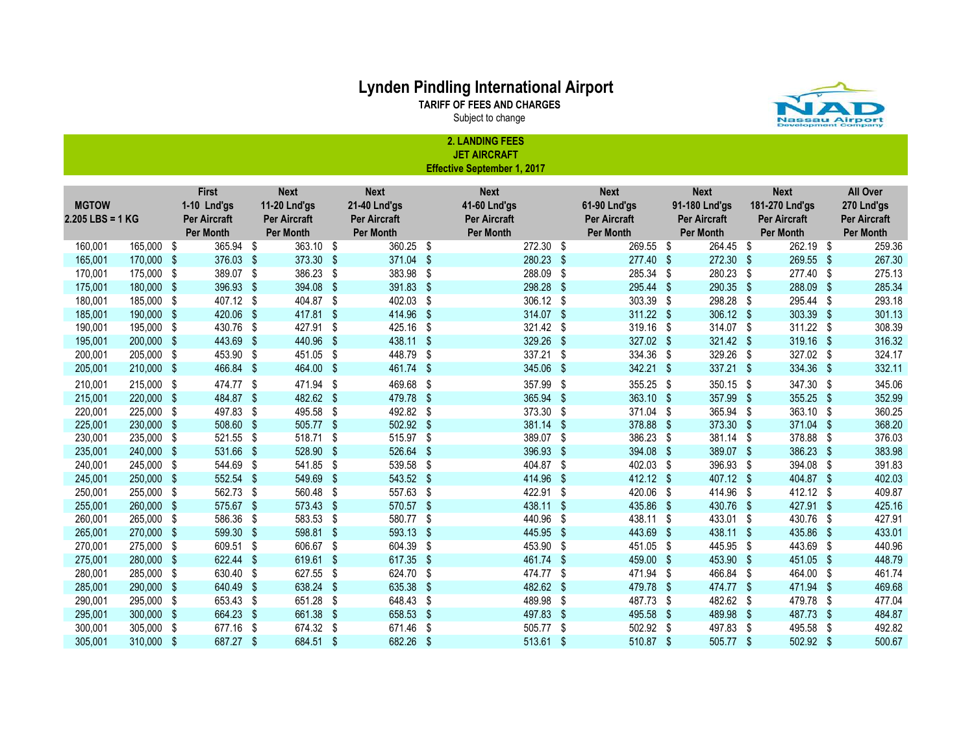TARIFF OF FEES AND CHARGES

2. LANDING FEES

Subject to change



|                  |            |      |                                  |      |                                  |      |                                         | <b>JET AIRCRAFT</b>                |     |                                  |            |                                  |      |                                  |            |                                  |
|------------------|------------|------|----------------------------------|------|----------------------------------|------|-----------------------------------------|------------------------------------|-----|----------------------------------|------------|----------------------------------|------|----------------------------------|------------|----------------------------------|
|                  |            |      |                                  |      |                                  |      |                                         | <b>Effective September 1, 2017</b> |     |                                  |            |                                  |      |                                  |            |                                  |
|                  |            |      |                                  |      |                                  |      |                                         |                                    |     |                                  |            |                                  |      |                                  |            |                                  |
|                  |            |      | First                            |      | <b>Next</b>                      |      | <b>Next</b>                             | <b>Next</b>                        |     | <b>Next</b>                      |            | <b>Next</b>                      |      | <b>Next</b>                      |            | All Over                         |
| <b>MGTOW</b>     |            |      | 1-10 Lnd'gs                      |      | <b>11-20 Lnd'gs</b>              |      | <b>21-40 Lnd'gs</b>                     | 41-60 Lnd'gs                       |     | 61-90 Lnd'gs                     |            | 91-180 Lnd'gs                    |      | 181-270 Lnd'gs                   |            | 270 Lnd'gs                       |
| 2.205 LBS = 1 KG |            |      | <b>Per Aircraft</b><br>Per Month |      | <b>Per Aircraft</b><br>Per Month |      | <b>Per Aircraft</b><br><b>Per Month</b> | Per Aircraft<br><b>Per Month</b>   |     | Per Aircraft<br><b>Per Month</b> |            | Per Aircraft<br><b>Per Month</b> |      | Per Aircraft<br><b>Per Month</b> |            | Per Aircraft<br><b>Per Month</b> |
| 160,001          | 165,000 \$ |      | 365.94 \$                        |      | 363.10 \$                        |      | 360.25                                  | \$<br>$\overline{272.30}$ \$       |     | 269.55                           | - \$       | 264.45 \$                        |      | 262.19 \$                        |            | 259.36                           |
| 165,001          | 170,000 \$ |      | 376.03 \$                        |      | 373.30 \$                        |      | 371.04                                  | \$<br>280.23                       | \$  | 277.40 \$                        |            | 272.30 \$                        |      | 269.55 \$                        |            | 267.30                           |
| 170,001          | 175,000    | - \$ | 389.07 \$                        |      | 386.23 \$                        |      | 383.98                                  | \$<br>288.09                       | -\$ | 285.34                           | - \$       | 280.23                           | - \$ | 277.40 \$                        |            | 275.13                           |
| 175,001          | 180,000 \$ |      | 396.93 \$                        |      | 394.08 \$                        |      | 391.83                                  | \$<br>298.28                       | \$  | 295.44                           | -\$        | 290.35 \$                        |      | 288.09 \$                        |            | 285.34                           |
| 180,001          | 185,000    | - \$ | 407.12 \$                        |      | 404.87 \$                        |      | 402.03                                  | \$<br>306.12                       | \$  | 303.39                           | - \$       | 298.28                           | - \$ | 295.44 \$                        |            | 293.18                           |
| 185,001          | 190,000    | - \$ | 420.06                           | -\$  | 417.81 \$                        |      | 414.96                                  | \$<br>314.07 \$                    |     | 311.22 \$                        |            | 306.12 \$                        |      | 303.39 \$                        |            | 301.13                           |
| 190,001          | 195,000    | - \$ | 430.76                           | \$   | 427.91                           | - \$ | 425.16                                  | \$<br>321.42                       | \$  | 319.16 \$                        |            | 314.07 \$                        |      | 311.22 \$                        |            | 308.39                           |
| 195,001          | 200,000    | - \$ | 443.69                           | -\$  | 440.96                           | S    | 438.11                                  | \$<br>329.26                       | S.  | 327.02 \$                        |            | 321.42 \$                        |      | 319.16                           | - \$       | 316.32                           |
| 200,001          | 205,000    | - \$ | 453.90                           | \$   | 451.05                           | - \$ | 448.79                                  | \$<br>337.21                       | \$  | 334.36                           | - \$       | 329.26                           | - \$ | 327.02 \$                        |            | 324.17                           |
| 205,001          | 210,000    | - \$ | 466.84 \$                        |      | 464.00 \$                        |      | 461.74 \$                               | 345.06                             | S.  | 342.21                           | - \$       | 337.21 \$                        |      | 334.36 \$                        |            | 332.11                           |
| 210,001          | 215,000    | - \$ | 474.77 \$                        |      | 471.94 \$                        |      | 469.68                                  | \$<br>357.99                       | \$  | 355.25 \$                        |            | 350.15                           | - \$ | 347.30 \$                        |            | 345.06                           |
| 215,001          | 220,000    | - \$ | 484.87 \$                        |      | 482.62 \$                        |      | 479.78                                  | \$<br>365.94                       | \$  | 363.10 \$                        |            | 357.99                           | - \$ | 355.25 \$                        |            | 352.99                           |
| 220,001          | 225,000    | - \$ | 497.83                           | -\$  | 495.58 \$                        |      | 492.82                                  | \$<br>373.30                       | \$  | 371.04                           | - \$       | 365.94                           | - \$ | 363.10 \$                        |            | 360.25                           |
| 225,001          | 230,000    | - \$ | 508.60                           | -\$  | 505.77 \$                        |      | 502.92                                  | \$<br>381.14                       | -\$ | 378.88                           | - \$       | 373.30 \$                        |      | 371.04 \$                        |            | 368.20                           |
| 230,001          | 235,000    | - \$ | 521.55                           | \$   | 518.71                           | \$   | 515.97                                  | \$<br>389.07                       | \$  | 386.23                           | - \$       | 381.14                           | - \$ | 378.88 \$                        |            | 376.03                           |
| 235,001          | 240,000    | - \$ | 531.66                           | -\$  | 528.90                           | - \$ | 526.64                                  | \$<br>396.93                       | \$  | 394.08                           | - \$       | 389.07 \$                        |      | 386.23                           | - \$       | 383.98                           |
| 240,001          | 245,000    | - \$ | 544.69                           | \$   | 541.85                           | - \$ | 539.58                                  | \$<br>404.87                       | \$  | 402.03 \$                        |            | 396.93                           | - \$ | 394.08 \$                        |            | 391.83                           |
| 245,001          | 250,000    | - \$ | 552.54 \$                        |      | 549.69                           | - \$ | 543.52                                  | \$<br>414.96                       | \$  | 412.12 \$                        |            | 407.12 \$                        |      | 404.87 \$                        |            | 402.03                           |
| 250,001          | 255,000    | - \$ | 562.73                           | - \$ | 560.48 \$                        |      | 557.63                                  | \$<br>422.91                       | \$  | 420.06                           | - \$       | 414.96                           | - \$ | $412.12$ \$                      |            | 409.87                           |
| 255,001          | 260,000    | - \$ | 575.67 \$                        |      | 573.43 \$                        |      | 570.57                                  | \$<br>438.11 \$                    |     | 435.86                           | - \$       | 430.76                           | - \$ | 427.91 \$                        |            | 425.16                           |
| 260,001          | 265,000    | - \$ | 586.36                           | -\$  | 583.53 \$                        |      | 580.77                                  | \$<br>440.96                       | \$  | 438.11 \$                        |            | 433.01                           | - \$ | 430.76 \$                        |            | 427.91                           |
| 265,001          | 270,000    | - \$ | 599.30 \$                        |      | 598.81 \$                        |      | 593.13                                  | \$<br>445.95                       | -\$ | 443.69                           | $\sqrt{5}$ | 438.11                           | - \$ | 435.86 \$                        |            | 433.01                           |
| 270,001          | 275,000    | - \$ | 609.51                           | \$   | 606.67 \$                        |      | 604.39                                  | \$<br>453.90                       | \$  | 451.05                           | - \$       | 445.95                           | - \$ | 443.69 \$                        |            | 440.96                           |
| 275,001          | 280,000    | -\$  | 622.44                           | \$   | 619.61 \$                        |      | 617.35                                  | \$<br>461.74                       | \$  | 459.00                           | -\$        | 453.90                           | - \$ | 451.05                           | - \$       | 448.79                           |
| 280,001          | 285,000    | - \$ | 630.40                           | \$   | 627.55 \$                        |      | 624.70                                  | \$<br>474.77                       | \$  | 471.94                           | -\$        | 466.84                           | - \$ | 464.00 \$                        |            | 461.74                           |
| 285,001          | 290,000    | -\$  | 640.49                           | \$   | 638.24                           | \$   | 635.38                                  | \$<br>482.62                       | \$  | 479.78                           | -\$        | 474.77                           | - \$ | 471.94                           | -\$        | 469.68                           |
| 290,001          | 295,000    | - \$ | 653.43                           | \$   | 651.28                           | \$   | 648.43                                  | \$<br>489.98                       | \$  | 487.73                           | -\$        | 482.62                           | - \$ | 479.78 \$                        |            | 477.04                           |
| 295,001          | 300,000    | - \$ | 664.23                           | -\$  | 661.38                           | \$   | 658.53                                  | \$<br>497.83                       | \$  | 495.58                           | -\$        | 489.98                           | - \$ | 487.73                           | $\sqrt{3}$ | 484.87                           |
| 300,001          | 305,000    | - \$ | 677.16                           | \$   | 674.32                           | \$   | 671.46                                  | \$<br>505.77                       | \$  | 502.92                           | - \$       | 497.83                           | - \$ | 495.58                           | - \$       | 492.82                           |
| 305,001          | 310,000    | - \$ | 687.27                           | -\$  | 684.51 \$                        |      | 682.26                                  | \$<br>513.61                       | -\$ | 510.87                           | -\$        | 505.77                           | - \$ | 502.92 \$                        |            | 500.67                           |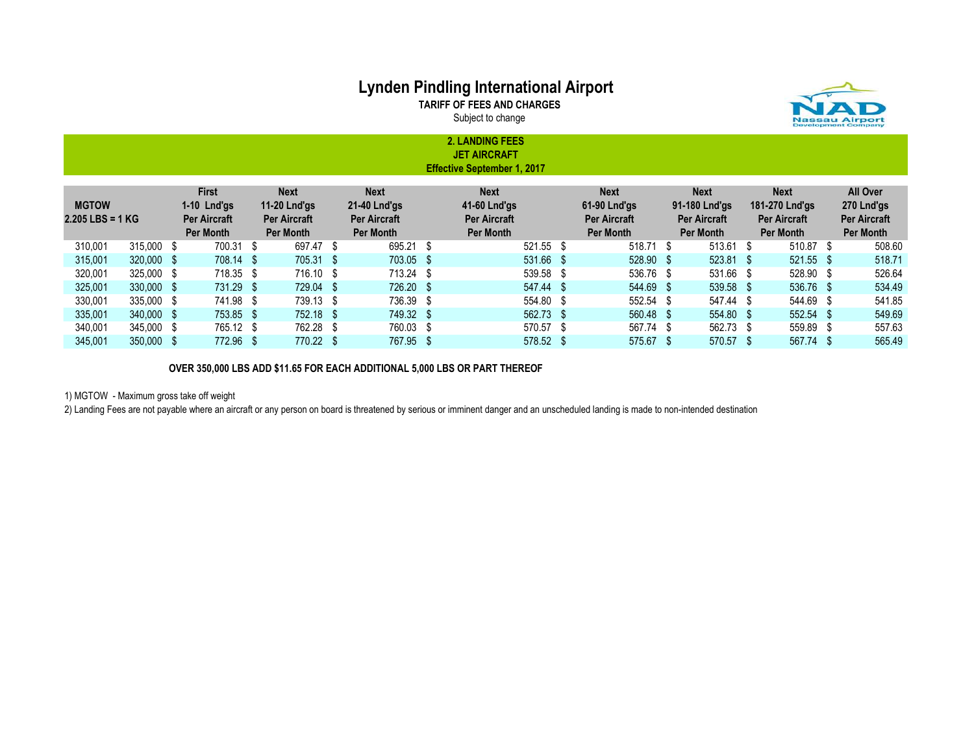TARIFF OF FEES AND CHARGES





2. LANDING FEES JET AIRCRAFT Effective September 1, 2017

| <b>MGTOW</b><br>$2.205$ LBS = 1 KG |            | <b>First</b><br>$1-10$ Lnd'gs<br><b>Per Aircraft</b><br>Per Month | <b>Next</b><br>11-20 Lnd'gs<br><b>Per Aircraft</b><br>Per Month | <b>Next</b><br>21-40 Lnd'gs<br><b>Per Aircraft</b><br>Per Month | <b>Next</b><br>41-60 Lnd'gs<br><b>Per Aircraft</b><br>Per Month | <b>Next</b><br>61-90 Lnd'gs<br><b>Per Aircraft</b><br>Per Month | <b>Next</b><br>91-180 Lnd'gs<br><b>Per Aircraft</b><br>Per Month | <b>Next</b><br>181-270 Lnd'gs<br><b>Per Aircraft</b><br>Per Month | All Over<br>270 Lnd'gs<br><b>Per Aircraft</b><br>Per Month |
|------------------------------------|------------|-------------------------------------------------------------------|-----------------------------------------------------------------|-----------------------------------------------------------------|-----------------------------------------------------------------|-----------------------------------------------------------------|------------------------------------------------------------------|-------------------------------------------------------------------|------------------------------------------------------------|
| 310.001                            | 315,000 \$ | 700.31 \$                                                         | 697.47 \$                                                       | 695.21 \$                                                       | 521.55 \$                                                       | 518.71 \$                                                       | $513.61$ \$                                                      | 510.87 \$                                                         | 508.60                                                     |
| 315,001                            | 320,000 \$ | 708.14 \$                                                         | 705.31 \$                                                       | 703.05 \$                                                       | 531.66 \$                                                       | 528.90 \$                                                       | $523.81$ \$                                                      | 521.55 \$                                                         | 518.71                                                     |
| 320.001                            | 325,000 \$ | 718.35 \$                                                         | 716.10 \$                                                       | 713.24 \$                                                       | 539.58 \$                                                       | 536.76 \$                                                       | 531.66 \$                                                        | 528.90 \$                                                         | 526.64                                                     |
| 325,001                            | 330,000 \$ | 731.29 \$                                                         | 729.04 \$                                                       | 726.20 \$                                                       | $547.44$ \$                                                     | 544.69 \$                                                       | 539.58 \$                                                        | 536.76 \$                                                         | 534.49                                                     |
| 330.001                            | 335,000 \$ | 741.98 \$                                                         | 739.13 \$                                                       | 736.39 \$                                                       | 554.80 \$                                                       | 552.54 \$                                                       | 547.44 \$                                                        | 544.69 \$                                                         | 541.85                                                     |
| 335,001                            | 340,000 \$ | 753.85 \$                                                         | 752.18 \$                                                       | 749.32 \$                                                       | $562.73$ \$                                                     | 560.48 \$                                                       | 554.80 \$                                                        | 552.54 \$                                                         | 549.69                                                     |
| 340.001                            | 345,000 \$ | 765.12 \$                                                         | 762.28 \$                                                       | 760.03 \$                                                       | 570.57 \$                                                       | 567.74 \$                                                       | 562.73 \$                                                        | 559.89 \$                                                         | 557.63                                                     |
| 345,001                            | 350,000 \$ | 772.96 \$                                                         | 770.22 \$                                                       | 767.95 \$                                                       | 578.52 \$                                                       | 575.67 \$                                                       | 570.57 \$                                                        | 567.74 \$                                                         | 565.49                                                     |

OVER 350,000 LBS ADD \$11.65 FOR EACH ADDITIONAL 5,000 LBS OR PART THEREOF

1) MGTOW - Maximum gross take off weight

2) Landing Fees are not payable where an aircraft or any person on board is threatened by serious or imminent danger and an unscheduled landing is made to non-intended destination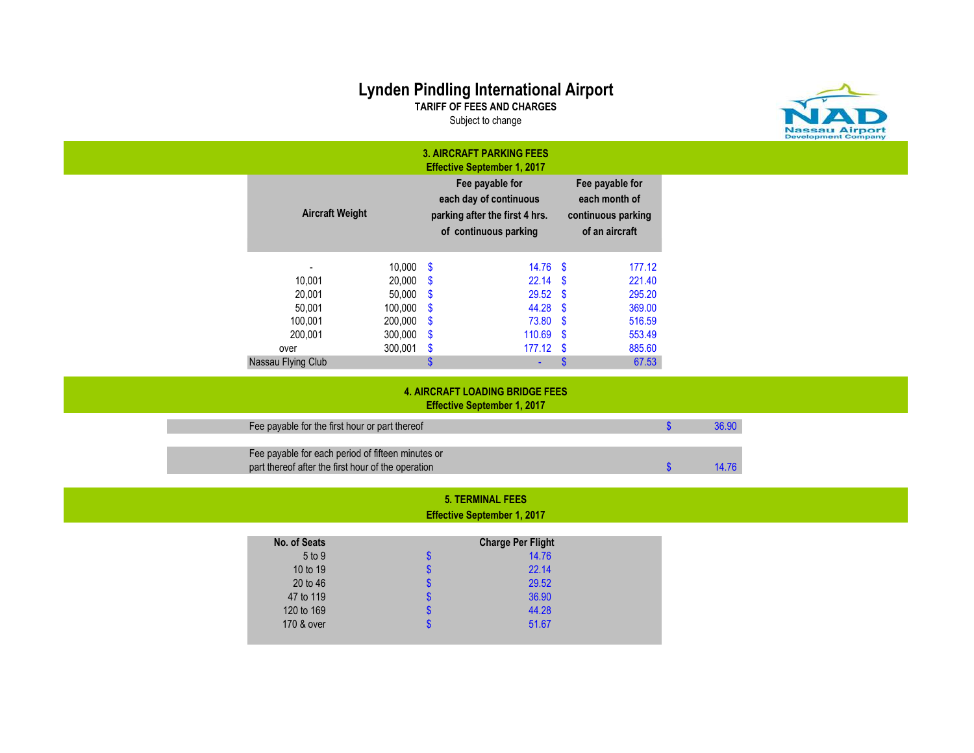TARIFF OF FEES AND CHARGES Subject to change



|                                                                                                         |                            |                                | <b>3. AIRCRAFT PARKING FEES</b><br><b>Effective September 1, 2017</b>                                |      |                                                                          |               |       |
|---------------------------------------------------------------------------------------------------------|----------------------------|--------------------------------|------------------------------------------------------------------------------------------------------|------|--------------------------------------------------------------------------|---------------|-------|
| <b>Aircraft Weight</b>                                                                                  |                            |                                | Fee payable for<br>each day of continuous<br>parking after the first 4 hrs.<br>of continuous parking |      | Fee payable for<br>each month of<br>continuous parking<br>of an aircraft |               |       |
|                                                                                                         | $10,000$ \$                |                                | $14.76$ \$                                                                                           |      | 177.12                                                                   |               |       |
| 10,001<br>20,001                                                                                        | $20,000$ \$<br>$50,000$ \$ |                                | $22.14$ \$<br>$29.52$ \$                                                                             |      | 221.40<br>295.20                                                         |               |       |
| 50,001                                                                                                  | $100,000$ \$               |                                | 44.28 \$                                                                                             |      | 369.00                                                                   |               |       |
| 100,001                                                                                                 | $200,000$ \$               |                                | 73.80                                                                                                | - \$ | 516.59                                                                   |               |       |
| 200,001                                                                                                 | $300,000$ \$<br>300,001    |                                | $110.69$ \$<br>$177.12$ \$                                                                           |      | 553.49                                                                   |               |       |
| over<br>Nassau Flying Club                                                                              |                            | $\mathbf{\$}$<br>$\mathbf{\$}$ | $\Delta \sim 10$                                                                                     | -\$  | 885.60<br>67.53                                                          |               |       |
|                                                                                                         |                            |                                | <b>4. AIRCRAFT LOADING BRIDGE FEES</b><br><b>Effective September 1, 2017</b>                         |      |                                                                          |               |       |
| Fee payable for the first hour or part thereof                                                          |                            |                                |                                                                                                      |      |                                                                          | $\mathbf{\$}$ | 36.90 |
| Fee payable for each period of fifteen minutes or<br>part thereof after the first hour of the operation |                            |                                |                                                                                                      |      |                                                                          | $\mathbf{\$}$ | 14.76 |

### 5. TERMINAL FEES Effective September 1, 2017

| No. of Seats |   | <b>Charge Per Flight</b> |
|--------------|---|--------------------------|
| 5 to 9       | S | 14.76                    |
| 10 to 19     | S | 22.14                    |
| 20 to 46     | S | 29.52                    |
| 47 to 119    | S | 36.90                    |
| 120 to 169   | S | 44.28                    |
| 170 & over   | S | 51.67                    |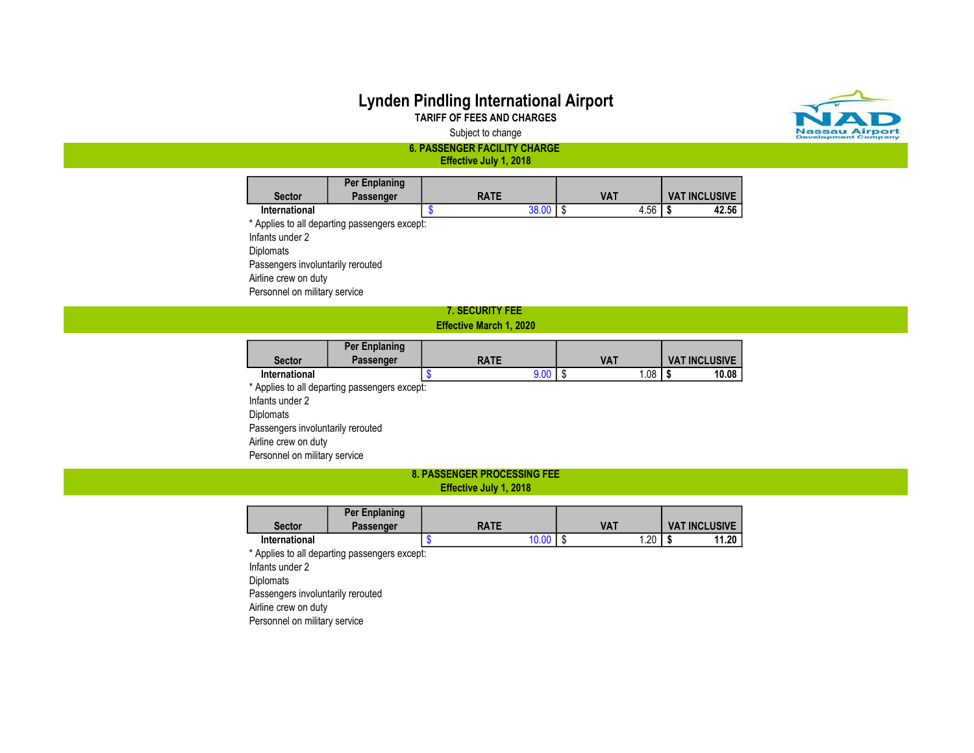### Lynden Pindling International Airport TARIFF OF FEES AND CHARGES



Subject to change

6. PASSENGER FACILITY CHARGE Effective July 1, 2018

|                      | Per Enplaning |             |            |                      |
|----------------------|---------------|-------------|------------|----------------------|
| <b>Sector</b>        | Passenger     | <b>RATE</b> | VAT        | <b>VAT INCLUSIVE</b> |
| <b>International</b> |               | 38.00       | 4.56<br>۰D | 42.56<br>ъĐ          |

\* Applies to all departing passengers except: Infants under 2 Diplomats Passengers involuntarily rerouted Airline crew on duty Personnel on military service

### 7. SECURITY FEE

#### Effective March 1, 2020

|                 | Per Enplaning                                 |             |      |            |     |                      |       |
|-----------------|-----------------------------------------------|-------------|------|------------|-----|----------------------|-------|
| <b>Sector</b>   | Passenger                                     | <b>RATE</b> |      | <b>VAT</b> |     | <b>VAT INCLUSIVE</b> |       |
| International   |                                               |             | 9.00 |            | .08 |                      | 10.08 |
|                 | * Applies to all departing passengers except: |             |      |            |     |                      |       |
| Infants under 2 |                                               |             |      |            |     |                      |       |

Diplomats Passengers involuntarily rerouted Airline crew on duty Personnel on military service

#### 8. PASSENGER PROCESSING FEE Effective July 1, 2018

| Sector               | <b>Per Enplaning</b><br>Passenger | <b>RATE</b> | VA1          | <b>VAT INCLUSIVE</b> |
|----------------------|-----------------------------------|-------------|--------------|----------------------|
| <b>International</b> |                                   | 10.00       | . 20<br>- 10 | 11.20<br>- 17        |

\* Applies to all departing passengers except: Infants under 2 **Diplomats** Passengers involuntarily rerouted Airline crew on duty Personnel on military service